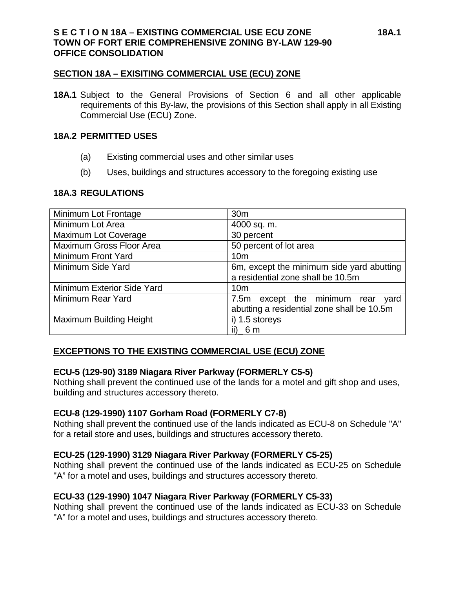## **SECTION 18A – EXISITING COMMERCIAL USE (ECU) ZONE**

**18A.1** Subject to the General Provisions of Section 6 and all other applicable requirements of this By-law, the provisions of this Section shall apply in all Existing Commercial Use (ECU) Zone.

#### **18A.2 PERMITTED USES**

- (a) Existing commercial uses and other similar uses
- (b) Uses, buildings and structures accessory to the foregoing existing use

## **18A.3 REGULATIONS**

| Minimum Lot Frontage            | 30 <sub>m</sub>                            |
|---------------------------------|--------------------------------------------|
| Minimum Lot Area                | 4000 sq. m.                                |
| Maximum Lot Coverage            | 30 percent                                 |
| <b>Maximum Gross Floor Area</b> | 50 percent of lot area                     |
| Minimum Front Yard              | 10 <sub>m</sub>                            |
| Minimum Side Yard               | 6m, except the minimum side yard abutting  |
|                                 | a residential zone shall be 10.5m          |
| Minimum Exterior Side Yard      | 10 <sub>m</sub>                            |
| Minimum Rear Yard               | 7.5m except the minimum rear<br>yard       |
|                                 | abutting a residential zone shall be 10.5m |
| <b>Maximum Building Height</b>  | i) 1.5 storeys                             |
|                                 | ii) $6m$                                   |

# **EXCEPTIONS TO THE EXISTING COMMERCIAL USE (ECU) ZONE**

#### **ECU-5 (129-90) 3189 Niagara River Parkway (FORMERLY C5-5)**

Nothing shall prevent the continued use of the lands for a motel and gift shop and uses, building and structures accessory thereto.

#### **ECU-8 (129-1990) 1107 Gorham Road (FORMERLY C7-8)**

Nothing shall prevent the continued use of the lands indicated as ECU-8 on Schedule "A" for a retail store and uses, buildings and structures accessory thereto.

#### **ECU-25 (129-1990) 3129 Niagara River Parkway (FORMERLY C5-25)**

Nothing shall prevent the continued use of the lands indicated as ECU-25 on Schedule "A" for a motel and uses, buildings and structures accessory thereto.

#### **ECU-33 (129-1990) 1047 Niagara River Parkway (FORMERLY C5-33)**

Nothing shall prevent the continued use of the lands indicated as ECU-33 on Schedule "A" for a motel and uses, buildings and structures accessory thereto.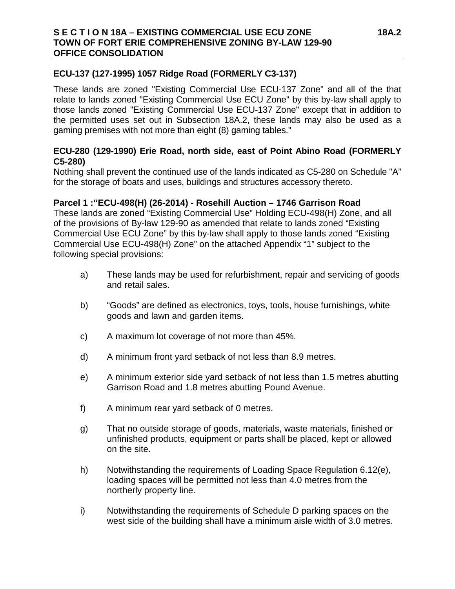## **ECU-137 (127-1995) 1057 Ridge Road (FORMERLY C3-137)**

These lands are zoned "Existing Commercial Use ECU-137 Zone" and all of the that relate to lands zoned "Existing Commercial Use ECU Zone" by this by-law shall apply to those lands zoned "Existing Commercial Use ECU-137 Zone" except that in addition to the permitted uses set out in Subsection 18A.2, these lands may also be used as a gaming premises with not more than eight (8) gaming tables."

## **ECU-280 (129-1990) Erie Road, north side, east of Point Abino Road (FORMERLY C5-280)**

Nothing shall prevent the continued use of the lands indicated as C5-280 on Schedule "A" for the storage of boats and uses, buildings and structures accessory thereto.

#### **Parcel 1 :"ECU-498(H) (26-2014) - Rosehill Auction – 1746 Garrison Road**

These lands are zoned "Existing Commercial Use" Holding ECU-498(H) Zone, and all of the provisions of By-law 129-90 as amended that relate to lands zoned "Existing Commercial Use ECU Zone" by this by-law shall apply to those lands zoned "Existing Commercial Use ECU-498(H) Zone" on the attached Appendix "1" subject to the following special provisions:

- a) These lands may be used for refurbishment, repair and servicing of goods and retail sales.
- b) "Goods" are defined as electronics, toys, tools, house furnishings, white goods and lawn and garden items.
- c) A maximum lot coverage of not more than 45%.
- d) A minimum front yard setback of not less than 8.9 metres.
- e) A minimum exterior side yard setback of not less than 1.5 metres abutting Garrison Road and 1.8 metres abutting Pound Avenue.
- f) A minimum rear yard setback of 0 metres.
- g) That no outside storage of goods, materials, waste materials, finished or unfinished products, equipment or parts shall be placed, kept or allowed on the site.
- h) Notwithstanding the requirements of Loading Space Regulation 6.12(e), loading spaces will be permitted not less than 4.0 metres from the northerly property line.
- i) Notwithstanding the requirements of Schedule D parking spaces on the west side of the building shall have a minimum aisle width of 3.0 metres.